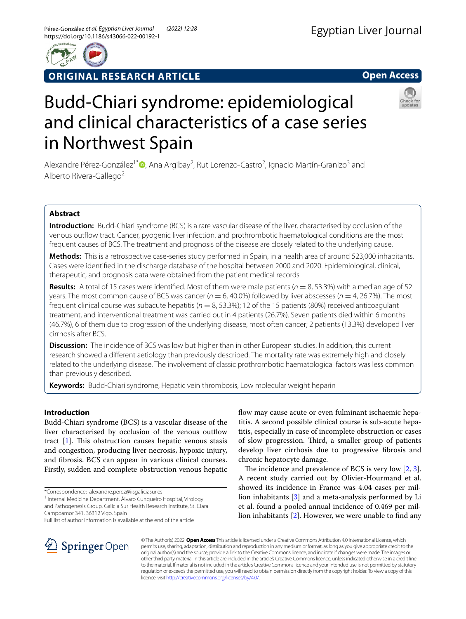

**ORIGINAL RESEARCH ARTICLE**

**Open Access**



# Budd‑Chiari syndrome: epidemiological and clinical characteristics of a case series in Northwest Spain

Alexandre Pérez-González<sup>1\*</sup><sup>®</sup>[,](http://orcid.org/0000-0003-4836-6768) Ana Argibay<sup>2</sup>, Rut Lorenzo-Castro<sup>2</sup>, Ignacio Martín-Granizo<sup>3</sup> and Alberto Rivera-Gallego<sup>2</sup>

# **Abstract**

**Introduction:** Budd-Chiari syndrome (BCS) is a rare vascular disease of the liver, characterised by occlusion of the venous outfow tract. Cancer, pyogenic liver infection, and prothrombotic haematological conditions are the most frequent causes of BCS. The treatment and prognosis of the disease are closely related to the underlying cause.

**Methods:** This is a retrospective case-series study performed in Spain, in a health area of around 523,000 inhabitants. Cases were identifed in the discharge database of the hospital between 2000 and 2020. Epidemiological, clinical, therapeutic, and prognosis data were obtained from the patient medical records.

**Results:** A total of 15 cases were identified. Most of them were male patients ( $n = 8, 53.3\%$ ) with a median age of 52 years. The most common cause of BCS was cancer ( $n = 6,40.0\%$ ) followed by liver abscesses ( $n = 4,26.7\%$ ). The most frequent clinical course was subacute hepatitis (*n* = 8, 53.3%); 12 of the 15 patients (80%) received anticoagulant treatment, and interventional treatment was carried out in 4 patients (26.7%). Seven patients died within 6 months (46.7%), 6 of them due to progression of the underlying disease, most often cancer; 2 patients (13.3%) developed liver cirrhosis after BCS.

**Discussion:** The incidence of BCS was low but higher than in other European studies. In addition, this current research showed a diferent aetiology than previously described. The mortality rate was extremely high and closely related to the underlying disease. The involvement of classic prothrombotic haematological factors was less common than previously described.

**Keywords:** Budd-Chiari syndrome, Hepatic vein thrombosis, Low molecular weight heparin

# **Introduction**

Budd-Chiari syndrome (BCS) is a vascular disease of the liver characterised by occlusion of the venous outflow tract  $[1]$  $[1]$ . This obstruction causes hepatic venous stasis and congestion, producing liver necrosis, hypoxic injury, and fbrosis. BCS can appear in various clinical courses. Firstly, sudden and complete obstruction venous hepatic

\*Correspondence: alexandre.perez@iisgaliciasur.es

<sup>1</sup> Internal Medicine Department, Álvaro Cunqueiro Hospital, Virology and Pathogenesis Group, Galicia Sur Health Research Institute, St. Clara Campoamor 341, 36312 Vigo, Spain

Full list of author information is available at the end of the article

flow may cause acute or even fulminant ischaemic hepatitis. A second possible clinical course is sub-acute hepatitis, especially in case of incomplete obstruction or cases of slow progression. Third, a smaller group of patients develop liver cirrhosis due to progressive fbrosis and chronic hepatocyte damage.

The incidence and prevalence of BCS is very low  $[2, 3]$  $[2, 3]$  $[2, 3]$  $[2, 3]$ . A recent study carried out by Olivier-Hourmand et al. showed its incidence in France was 4.04 cases per million inhabitants [[3\]](#page-6-1) and a meta-analysis performed by Li et al. found a pooled annual incidence of 0.469 per million inhabitants [[2\]](#page-6-0). However, we were unable to fnd any



© The Author(s) 2022. **Open Access** This article is licensed under a Creative Commons Attribution 4.0 International License, which permits use, sharing, adaptation, distribution and reproduction in any medium or format, as long as you give appropriate credit to the original author(s) and the source, provide a link to the Creative Commons licence, and indicate if changes were made. The images or other third party material in this article are included in the article's Creative Commons licence, unless indicated otherwise in a credit line to the material. If material is not included in the article's Creative Commons licence and your intended use is not permitted by statutory regulation or exceeds the permitted use, you will need to obtain permission directly from the copyright holder. To view a copy of this licence, visit [http://creativecommons.org/licenses/by/4.0/.](http://creativecommons.org/licenses/by/4.0/)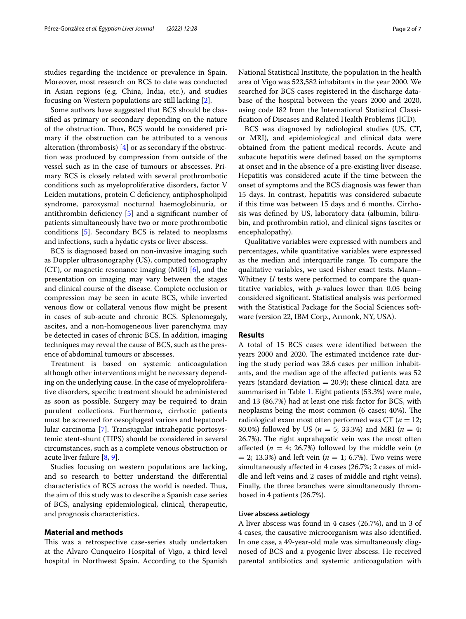studies regarding the incidence or prevalence in Spain. Moreover, most research on BCS to date was conducted in Asian regions (e.g. China, India, etc.), and studies focusing on Western populations are still lacking [[2\]](#page-6-0).

Some authors have suggested that BCS should be classifed as primary or secondary depending on the nature of the obstruction. Thus, BCS would be considered primary if the obstruction can be attributed to a venous alteration (thrombosis) [[4](#page-6-2)] or as secondary if the obstruction was produced by compression from outside of the vessel such as in the case of tumours or abscesses. Primary BCS is closely related with several prothrombotic conditions such as myeloproliferative disorders, factor V Leiden mutations, protein C deficiency, antiphospholipid syndrome, paroxysmal nocturnal haemoglobinuria, or antithrombin defciency [[5\]](#page-6-3) and a signifcant number of patients simultaneously have two or more prothrombotic conditions [\[5](#page-6-3)]. Secondary BCS is related to neoplasms and infections, such a hydatic cysts or liver abscess.

BCS is diagnosed based on non-invasive imaging such as Doppler ultrasonography (US), computed tomography  $(CT)$ , or magnetic resonance imaging (MRI) [\[6\]](#page-6-4), and the presentation on imaging may vary between the stages and clinical course of the disease. Complete occlusion or compression may be seen in acute BCS, while inverted venous flow or collateral venous flow might be present in cases of sub-acute and chronic BCS. Splenomegaly, ascites, and a non-homogeneous liver parenchyma may be detected in cases of chronic BCS. In addition, imaging techniques may reveal the cause of BCS, such as the presence of abdominal tumours or abscesses.

Treatment is based on systemic anticoagulation although other interventions might be necessary depending on the underlying cause. In the case of myeloproliferative disorders, specifc treatment should be administered as soon as possible. Surgery may be required to drain purulent collections. Furthermore, cirrhotic patients must be screened for oesophageal varices and hepatocellular carcinoma [[7\]](#page-6-5). Transjugular intrahepatic portosystemic stent-shunt (TIPS) should be considered in several circumstances, such as a complete venous obstruction or acute liver failure [[8,](#page-6-6) [9](#page-6-7)].

Studies focusing on western populations are lacking, and so research to better understand the diferential characteristics of BCS across the world is needed. Thus, the aim of this study was to describe a Spanish case series of BCS, analysing epidemiological, clinical, therapeutic, and prognosis characteristics.

# **Material and methods**

This was a retrospective case-series study undertaken at the Alvaro Cunqueiro Hospital of Vigo, a third level hospital in Northwest Spain. According to the Spanish National Statistical Institute, the population in the health area of Vigo was 523,582 inhabitants in the year 2000. We searched for BCS cases registered in the discharge database of the hospital between the years 2000 and 2020, using code I82 from the International Statistical Classifcation of Diseases and Related Health Problems (ICD).

BCS was diagnosed by radiological studies (US, CT, or MRI), and epidemiological and clinical data were obtained from the patient medical records. Acute and subacute hepatitis were defned based on the symptoms at onset and in the absence of a pre-existing liver disease. Hepatitis was considered acute if the time between the onset of symptoms and the BCS diagnosis was fewer than 15 days. In contrast, hepatitis was considered subacute if this time was between 15 days and 6 months. Cirrhosis was defned by US, laboratory data (albumin, bilirubin, and prothrombin ratio), and clinical signs (ascites or encephalopathy).

Qualitative variables were expressed with numbers and percentages, while quantitative variables were expressed as the median and interquartile range. To compare the qualitative variables, we used Fisher exact tests. Mann– Whitney *U* tests were performed to compare the quantitative variables, with *p*-values lower than 0.05 being considered signifcant. Statistical analysis was performed with the Statistical Package for the Social Sciences software (version 22, IBM Corp., Armonk, NY, USA).

## **Results**

A total of 15 BCS cases were identifed between the years 2000 and 2020. The estimated incidence rate during the study period was 28.6 cases per million inhabitants, and the median age of the afected patients was 52 years (standard deviation  $= 20.9$ ); these clinical data are summarised in Table [1.](#page-2-0) Eight patients (53.3%) were male, and 13 (86.7%) had at least one risk factor for BCS, with neoplasms being the most common (6 cases; 40%). The radiological exam most often performed was CT (*n* = 12; 80.0%) followed by US (*n* = 5; 33.3%) and MRI (*n* = 4; 26.7%). The right suprahepatic vein was the most often affected ( $n = 4$ ; 26.7%) followed by the middle vein ( $n$  $= 2$ ; 13.3%) and left vein ( $n = 1$ ; 6.7%). Two veins were simultaneously afected in 4 cases (26.7%; 2 cases of middle and left veins and 2 cases of middle and right veins). Finally, the three branches were simultaneously thrombosed in 4 patients (26.7%).

## **Liver abscess aetiology**

A liver abscess was found in 4 cases (26.7%), and in 3 of 4 cases, the causative microorganism was also identifed. In one case, a 49-year-old male was simultaneously diagnosed of BCS and a pyogenic liver abscess. He received parental antibiotics and systemic anticoagulation with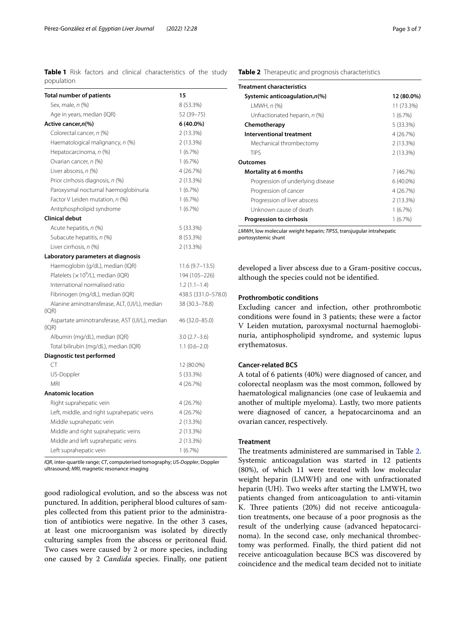<span id="page-2-0"></span>**Table 1** Risk factors and clinical characteristics of the study population

| <b>Total number of patients</b>                         | 15                  |
|---------------------------------------------------------|---------------------|
| Sex, male, n (%)                                        | 8 (53.3%)           |
| Age in years, median (IQR)                              | 52 (39–75)          |
| Active cancer,n(%)                                      | 6 (40.0%)           |
| Colorectal cancer, n (%)                                | 2 (13.3%)           |
| Haematological malignancy, n (%)                        | 2 (13.3%)           |
| Hepatocarcinoma, n (%)                                  | 1(6.7%)             |
| Ovarian cancer, n (%)                                   | 1(6.7%)             |
| Liver abscess, n (%)                                    | 4 (26.7%)           |
| Prior cirrhosis diagnosis, n (%)                        | 2 (13.3%)           |
| Paroxysmal nocturnal haemoglobinuria                    | 1(6.7%)             |
| Factor V Leiden mutation, n (%)                         | 1(6.7%)             |
| Antiphospholipid syndrome                               | 1(6.7%)             |
| <b>Clinical debut</b>                                   |                     |
| Acute hepatitis, n (%)                                  | 5 (33.3%)           |
| Subacute hepatitis, n (%)                               | 8 (53.3%)           |
| Liver cirrhosis, n (%)                                  | 2 (13.3%)           |
| Laboratory parameters at diagnosis                      |                     |
| Haemoglobin (g/dL), median (IQR)                        | $11.6(9.7-13.5)$    |
| Platelets ( $\times$ 10 <sup>9</sup> /L), median (IQR)  | 194 (105–226)       |
| International normalised ratio                          | $1.2(1.1-1.4)$      |
| Fibrinogen (mg/dL), median (IQR)                        | 438.5 (331.0-578.0) |
| Alanine aminotransferase, ALT, (UI/L), median<br>(IQR)  | 38 (30.3-78.8)      |
| Aspartate aminotransferase, AST (UI/L), median<br>(IQR) | 46 (32.0–85.0)      |
| Albumin (mg/dL), median (IQR)                           | $3.0(2.7 - 3.6)$    |
| Total bilirubin (mg/dL), median (IQR)                   | $1.1(0.6-2.0)$      |
| Diagnostic test performed                               |                     |
| CT                                                      | 12 (80.0%)          |
| US-Doppler                                              | 5 (33.3%)           |
| <b>MRI</b>                                              | 4 (26.7%)           |
| <b>Anatomic location</b>                                |                     |
| Right suprahepatic vein                                 | 4 (26.7%)           |
| Left, middle, and right suprahepatic veins              | 4 (26.7%)           |
| Middle suprahepatic vein                                | 2 (13.3%)           |
| Middle and right suprahepatic veins                     | 2 (13.3%)           |
| Middle and left suprahepatic veins                      | 2 (13.3%)           |
| Left suprahepatic vein                                  | 1(6.7%)             |

*IQR*, inter-quartile range; *CT*, computerised tomography; *US-Doppler*, Doppler ultrasound; *MRI*, magnetic resonance imaging

good radiological evolution, and so the abscess was not punctured. In addition, peripheral blood cultures of samples collected from this patient prior to the administration of antibiotics were negative. In the other 3 cases, at least one microorganism was isolated by directly culturing samples from the abscess or peritoneal fuid. Two cases were caused by 2 or more species, including one caused by 2 *Candida* species. Finally, one patient

# <span id="page-2-1"></span>**Table 2** Therapeutic and prognosis characteristics

| Treatment characteristics          |             |
|------------------------------------|-------------|
| Systemic anticoagulation, $n\ll 0$ | 12 (80.0%)  |
| $LMWH, n$ (%)                      | 11 (73.3%)  |
| Unfractionated heparin, n (%)      | 1(6.7%)     |
| Chemotherapy                       | 5 (33.3%)   |
| Interventional treatment           | 4 (26.7%)   |
| Mechanical thrombectomy            | 2(13.3%)    |
| <b>TIPS</b>                        | 2(13.3%)    |
| Outcomes                           |             |
| Mortality at 6 months              | 7 (46.7%)   |
| Progression of underlying disease  | $6(40.0\%)$ |
| Progression of cancer              | 4 (26.7%)   |
| Progression of liver abscess       | 2(13.3%)    |
| Unknown cause of death             | 1(6.7%)     |
| Progression to cirrhosis           | 1(6.7%)     |

*LMWH*, low molecular weight heparin; *TIPSS*, transjugular intrahepatic portosystemic shunt

developed a liver abscess due to a Gram-positive coccus, although the species could not be identifed.

# **Prothrombotic conditions**

Excluding cancer and infection, other prothrombotic conditions were found in 3 patients; these were a factor V Leiden mutation, paroxysmal nocturnal haemoglobinuria, antiphospholipid syndrome, and systemic lupus erythematosus.

#### **Cancer‑related BCS**

A total of 6 patients (40%) were diagnosed of cancer, and colorectal neoplasm was the most common, followed by haematological malignancies (one case of leukaemia and another of multiple myeloma). Lastly, two more patients were diagnosed of cancer, a hepatocarcinoma and an ovarian cancer, respectively.

# **Treatment**

The treatments administered are summarised in Table [2](#page-2-1). Systemic anticoagulation was started in 12 patients (80%), of which 11 were treated with low molecular weight heparin (LMWH) and one with unfractionated heparin (UH). Two weeks after starting the LMWH, two patients changed from anticoagulation to anti-vitamin K. Three patients (20%) did not receive anticoagulation treatments, one because of a poor prognosis as the result of the underlying cause (advanced hepatocarcinoma). In the second case, only mechanical thrombectomy was performed. Finally, the third patient did not receive anticoagulation because BCS was discovered by coincidence and the medical team decided not to initiate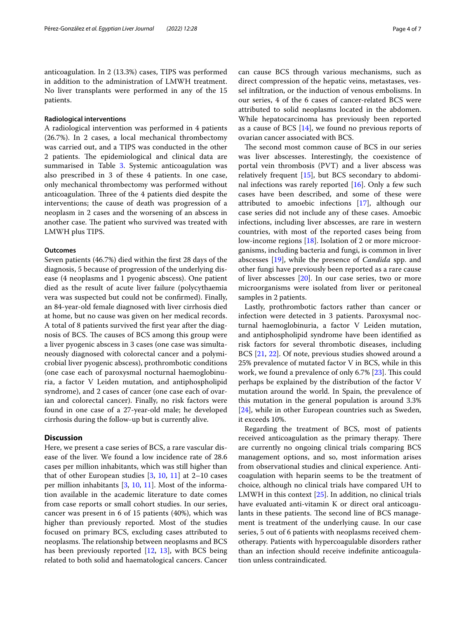anticoagulation. In 2 (13.3%) cases, TIPS was performed in addition to the administration of LMWH treatment. No liver transplants were performed in any of the 15 patients.

# **Radiological interventions**

A radiological intervention was performed in 4 patients (26.7%). In 2 cases, a local mechanical thrombectomy was carried out, and a TIPS was conducted in the other 2 patients. The epidemiological and clinical data are summarised in Table [3.](#page-4-0) Systemic anticoagulation was also prescribed in 3 of these 4 patients. In one case, only mechanical thrombectomy was performed without anticoagulation. Three of the 4 patients died despite the interventions; the cause of death was progression of a neoplasm in 2 cases and the worsening of an abscess in another case. The patient who survived was treated with LMWH plus TIPS.

# **Outcomes**

Seven patients (46.7%) died within the frst 28 days of the diagnosis, 5 because of progression of the underlying disease (4 neoplasms and 1 pyogenic abscess). One patient died as the result of acute liver failure (polycythaemia vera was suspected but could not be confrmed). Finally, an 84-year-old female diagnosed with liver cirrhosis died at home, but no cause was given on her medical records. A total of 8 patients survived the frst year after the diagnosis of BCS. The causes of BCS among this group were a liver pyogenic abscess in 3 cases (one case was simultaneously diagnosed with colorectal cancer and a polymicrobial liver pyogenic abscess), prothrombotic conditions (one case each of paroxysmal nocturnal haemoglobinuria, a factor V Leiden mutation, and antiphospholipid syndrome), and 2 cases of cancer (one case each of ovarian and colorectal cancer). Finally, no risk factors were found in one case of a 27-year-old male; he developed cirrhosis during the follow-up but is currently alive.

# **Discussion**

Here, we present a case series of BCS, a rare vascular disease of the liver. We found a low incidence rate of 28.6 cases per million inhabitants, which was still higher than that of other European studies  $[3, 10, 11]$  $[3, 10, 11]$  $[3, 10, 11]$  $[3, 10, 11]$  $[3, 10, 11]$  $[3, 10, 11]$  at 2–10 cases per million inhabitants [\[3](#page-6-1), [10](#page-6-8), [11\]](#page-6-9). Most of the information available in the academic literature to date comes from case reports or small cohort studies. In our series, cancer was present in 6 of 15 patients (40%), which was higher than previously reported. Most of the studies focused on primary BCS, excluding cases attributed to neoplasms. The relationship between neoplasms and BCS has been previously reported [[12,](#page-6-10) [13\]](#page-6-11), with BCS being related to both solid and haematological cancers. Cancer can cause BCS through various mechanisms, such as direct compression of the hepatic veins, metastases, vessel infltration, or the induction of venous embolisms. In our series, 4 of the 6 cases of cancer-related BCS were attributed to solid neoplasms located in the abdomen. While hepatocarcinoma has previously been reported as a cause of BCS  $[14]$  $[14]$ , we found no previous reports of ovarian cancer associated with BCS.

The second most common cause of BCS in our series was liver abscesses. Interestingly, the coexistence of portal vein thrombosis (PVT) and a liver abscess was relatively frequent [[15](#page-6-13)], but BCS secondary to abdominal infections was rarely reported [[16\]](#page-6-14). Only a few such cases have been described, and some of these were attributed to amoebic infections [\[17](#page-6-15)], although our case series did not include any of these cases. Amoebic infections, including liver abscesses, are rare in western countries, with most of the reported cases being from low-income regions [[18\]](#page-6-16). Isolation of 2 or more microorganisms, including bacteria and fungi, is common in liver abscesses [\[19\]](#page-6-17), while the presence of *Candida* spp. and other fungi have previously been reported as a rare cause of liver abscesses [\[20\]](#page-6-18). In our case series, two or more microorganisms were isolated from liver or peritoneal samples in 2 patients.

Lastly, prothrombotic factors rather than cancer or infection were detected in 3 patients. Paroxysmal nocturnal haemoglobinuria, a factor V Leiden mutation, and antiphospholipid syndrome have been identifed as risk factors for several thrombotic diseases, including BCS [[21,](#page-6-19) [22](#page-6-20)]. Of note, previous studies showed around a 25% prevalence of mutated factor V in BCS, while in this work, we found a prevalence of only  $6.7\%$  [ $23$ ]. This could perhaps be explained by the distribution of the factor V mutation around the world. In Spain, the prevalence of this mutation in the general population is around 3.3% [[24\]](#page-6-22), while in other European countries such as Sweden, it exceeds 10%.

Regarding the treatment of BCS, most of patients received anticoagulation as the primary therapy. There are currently no ongoing clinical trials comparing BCS management options, and so, most information arises from observational studies and clinical experience. Anticoagulation with heparin seems to be the treatment of choice, although no clinical trials have compared UH to LMWH in this context [[25](#page-6-23)]. In addition, no clinical trials have evaluated anti-vitamin K or direct oral anticoagulants in these patients. The second line of BCS management is treatment of the underlying cause. In our case series, 5 out of 6 patients with neoplasms received chemotherapy. Patients with hypercoagulable disorders rather than an infection should receive indefnite anticoagulation unless contraindicated.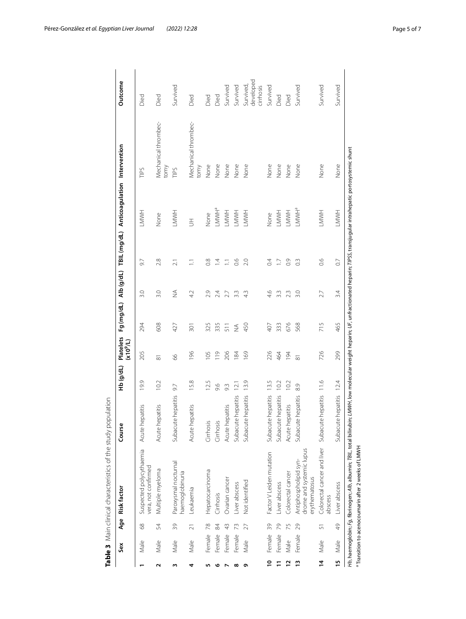|                | Sex    | Age             | <b>Risk factor</b>                                                 | Course                  | (Jp/dr) | Platelets<br>(x10 <sup>9</sup> /L) |                  |               |                  | Fg (mg/dL) Alb (g/dL) TBIL (mg/dL) Anticoagulation Intervention |                              | Outcome                             |
|----------------|--------|-----------------|--------------------------------------------------------------------|-------------------------|---------|------------------------------------|------------------|---------------|------------------|-----------------------------------------------------------------|------------------------------|-------------------------------------|
|                | Male   | 89              | Suspected polycythaemia<br>vera, not confirmed                     | Acute hepatitis         | 19.9    | 205                                | 294              | 3.0           | 9.7              | HWNH                                                            | TIPS                         | Died                                |
| Σ              | Male   | 54              | Multiple myeloma                                                   | Acute hepatitis         | 10.2    | ಹ                                  | 608              | 3.0           | 2.8              | None                                                            | Mechanical thrombec-<br>tomy | Died                                |
| m              | Male   | 39              | Paroxysmal nocturnal<br>naemoglobinuria                            | Subacute hepatitis      | 9.7     | 8                                  | 427              | $\frac{4}{2}$ | $\overline{21}$  | <b>LMWH</b>                                                     | TIPS                         | Survived                            |
| 4              | Male   | $\overline{2}1$ | Leukaemia                                                          | patitis<br>Acute he     | 15.8    | 196                                | $\overline{301}$ | 4.2           | Ξ                | $\overline{5}$                                                  | Mechanical thrombec-<br>tomy | Died                                |
| m              | Female | 78              | Hepatocarcinoma                                                    | Cirrhosis               | 12.5    | 105                                | 325              | 2.9           | $\frac{8}{2}$    | None                                                            | None                         | Died                                |
|                | Female | 84              | Cirrhosis                                                          | Cirrhosis               | 9.6     | 119                                | 335              | 24            | $\overline{4}$   | LMWHª                                                           | None                         | Died                                |
|                | Female | $\frac{1}{2}$   | Ovarian cancer                                                     | Acute hepatitis         | 9.3     | 206                                | 511              | 27            | Ξ                | <b>LMWH</b>                                                     | None                         | Survived                            |
| $\infty$       | Female | 73              | Liver abscess                                                      | Subacute hepatitis      | 12.1    | 184                                | $\lessgtr$       | 3.3           | 66               | <b>LMWH</b>                                                     | None                         | Survived                            |
| ۰              | Male   | 27              | Not identified                                                     | Subacute hepatitis      | 13.9    | 169                                | 450              | 4.3           | 2.0              | HWNH                                                            | None                         | developed<br>Survived,<br>cirrhosis |
| $\overline{a}$ | Female | 39              | Factor V Leiden mutation                                           | Subacute hepatitis      | 13.5    | 226                                | 407              | 4.6           | $\overline{0}$   | None                                                            | None                         | Survived                            |
|                | Female | 79              | Liver abscess                                                      | Subacute hepatitis      | 10.2    | 464                                | 333              | 3.3           | ΓJ               | <b>LMWH</b>                                                     | None                         | Died                                |
| $\mathbf{r}$   | Male   | 75              | Colorectal cancer                                                  | Acute hepatitis         | 10.2    | 194                                | 676              | 23            | $\overline{0}$ . | <b>LMWH</b>                                                     | None                         | Died                                |
| $\frac{1}{2}$  | Female | 29              | drome and systemic lupus<br>Antiphospholipid syn-<br>erythematosus | Subacute hepatitis      | 8.9     | $\overline{\infty}$                | 568              | 3.0           | $0.\overline{3}$ | LMWHª                                                           | None                         | Survived                            |
| $\overline{4}$ | Male   | 5               | Colorectal cancer and liver<br>abscess                             | Subacute hepatitis 11.6 |         | 726                                | 715              | 27            | $\frac{6}{2}$    | <b>HMMT</b>                                                     | None                         | Survived                            |
| 15             | Male   | 49              | Liver abscess                                                      | Subacute hepatitis 12.4 |         | 299                                | 465              | 3.4           | $\overline{0}$   | <b>LMMH</b>                                                     | None                         | Survived                            |

<span id="page-4-0"></span>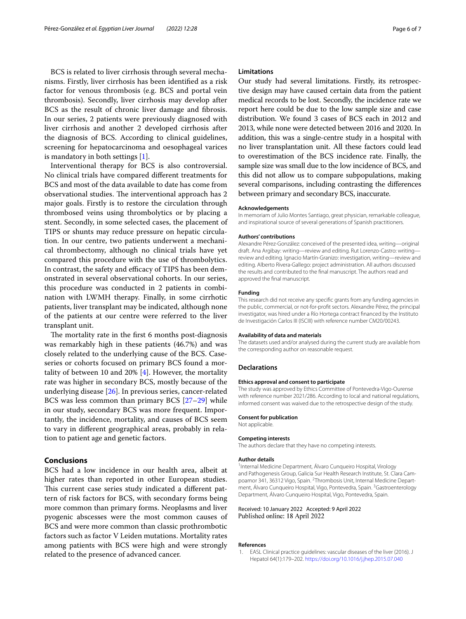BCS is related to liver cirrhosis through several mechanisms. Firstly, liver cirrhosis has been identifed as a risk factor for venous thrombosis (e.g. BCS and portal vein thrombosis). Secondly, liver cirrhosis may develop after BCS as the result of chronic liver damage and fbrosis. In our series, 2 patients were previously diagnosed with liver cirrhosis and another 2 developed cirrhosis after the diagnosis of BCS. According to clinical guidelines, screening for hepatocarcinoma and oesophageal varices is mandatory in both settings [\[1](#page-5-0)].

Interventional therapy for BCS is also controversial. No clinical trials have compared diferent treatments for BCS and most of the data available to date has come from observational studies. The interventional approach has 2 major goals. Firstly is to restore the circulation through thrombosed veins using thrombolytics or by placing a stent. Secondly, in some selected cases, the placement of TIPS or shunts may reduce pressure on hepatic circulation. In our centre, two patients underwent a mechanical thrombectomy, although no clinical trials have yet compared this procedure with the use of thrombolytics. In contrast, the safety and efficacy of TIPS has been demonstrated in several observational cohorts. In our series, this procedure was conducted in 2 patients in combination with LWMH therapy. Finally, in some cirrhotic patients, liver transplant may be indicated, although none of the patients at our centre were referred to the liver transplant unit.

The mortality rate in the first 6 months post-diagnosis was remarkably high in these patients (46.7%) and was closely related to the underlying cause of the BCS. Caseseries or cohorts focused on primary BCS found a mortality of between 10 and 20% [\[4](#page-6-2)]. However, the mortality rate was higher in secondary BCS, mostly because of the underlying disease [[26\]](#page-6-24). In previous series, cancer-related BCS was less common than primary BCS [[27](#page-6-25)[–29](#page-6-26)] while in our study, secondary BCS was more frequent. Importantly, the incidence, mortality, and causes of BCS seem to vary in diferent geographical areas, probably in relation to patient age and genetic factors.

# **Conclusions**

BCS had a low incidence in our health area, albeit at higher rates than reported in other European studies. This current case series study indicated a different pattern of risk factors for BCS, with secondary forms being more common than primary forms. Neoplasms and liver pyogenic abscesses were the most common causes of BCS and were more common than classic prothrombotic factors such as factor V Leiden mutations. Mortality rates among patients with BCS were high and were strongly related to the presence of advanced cancer.

# **Limitations**

Our study had several limitations. Firstly, its retrospective design may have caused certain data from the patient medical records to be lost. Secondly, the incidence rate we report here could be due to the low sample size and case distribution. We found 3 cases of BCS each in 2012 and 2013, while none were detected between 2016 and 2020. In addition, this was a single-centre study in a hospital with no liver transplantation unit. All these factors could lead to overestimation of the BCS incidence rate. Finally, the sample size was small due to the low incidence of BCS, and this did not allow us to compare subpopulations, making several comparisons, including contrasting the diferences between primary and secondary BCS, inaccurate.

#### **Acknowledgements**

In memoriam of Julio Montes Santiago, great physician, remarkable colleague, and inspirational source of several generations of Spanish practitioners.

#### **Authors' contributions**

Alexandre Pérez-González: conceived of the presented idea, writing—original draft. Ana Argibay: writing—review and editing. Rut Lorenzo-Castro: writing review and editing. Ignacio Martín-Granizo: investigation, writing—review and editing. Alberto Rivera-Gallego: project administration. All authors discussed the results and contributed to the fnal manuscript. The authors read and approved the fnal manuscript.

#### **Funding**

This research did not receive any specifc grants from any funding agencies in the public, commercial, or not-for-proft sectors. Alexandre Pérez, the principal investigator, was hired under a Río Hortega contract fnanced by the Instituto de Investigación Carlos III (ISCIII) with reference number CM20/00243.

#### **Availability of data and materials**

The datasets used and/or analysed during the current study are available from the corresponding author on reasonable request.

#### **Declarations**

#### **Ethics approval and consent to participate**

The study was approved by Ethics Committee of Pontevedra-Vigo-Ourense with reference number 2021/286. According to local and national regulations, informed consent was waived due to the retrospective design of the study.

## **Consent for publication**

Not applicable.

#### **Competing interests**

The authors declare that they have no competing interests.

## **Author details**

<sup>1</sup>Internal Medicine Department, Álvaro Cunqueiro Hospital, Virology and Pathogenesis Group, Galicia Sur Health Research Institute, St. Clara Campoamor 341, 36312 Vigo, Spain. <sup>2</sup>Thrombosis Unit, Internal Medicine Department, Álvaro Cunqueiro Hospital, Vigo, Pontevedra, Spain. <sup>3</sup> Gastroenterology Department, Álvaro Cunqueiro Hospital, Vigo, Pontevedra, Spain.

#### Received: 10 January 2022 Accepted: 9 April 2022 Published online: 18 April 2022

# **References**

<span id="page-5-0"></span>1. EASL Clinical practice guidelines: vascular diseases of the liver (2016). J Hepatol 64(1):179–202.<https://doi.org/10.1016/j.jhep.2015.07.040>